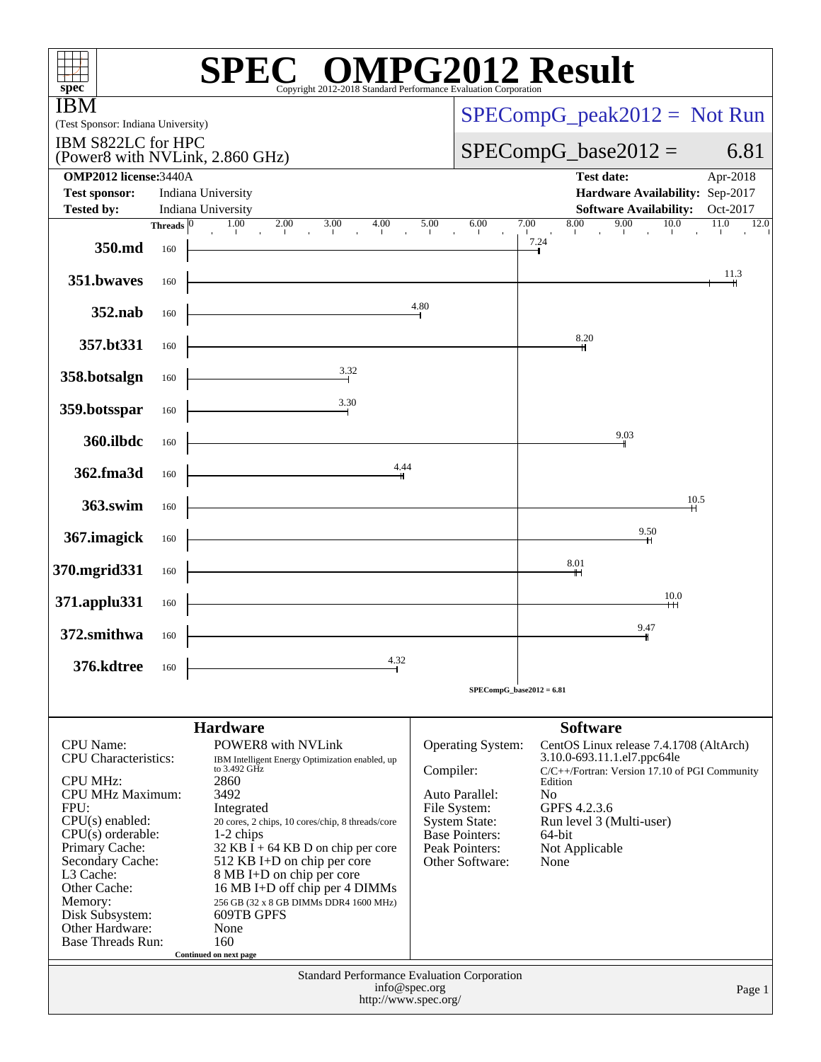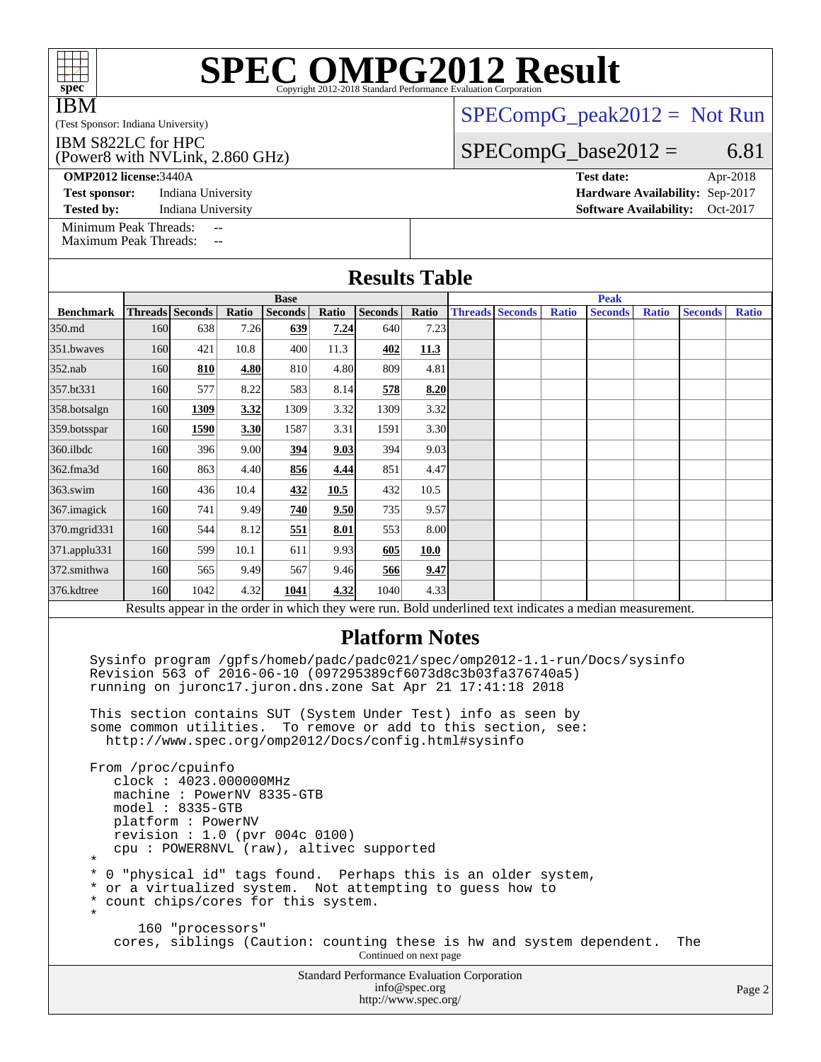| <b>IBM</b>                                                                                                                                                                                                                                                                                                                                                                                           | $SPECompG_peak2012 = Not Run$                                                 |                                    |       |                               |       |                                                                                                                         |               |                        |  |              |                                                                                                          |              |                |              |
|------------------------------------------------------------------------------------------------------------------------------------------------------------------------------------------------------------------------------------------------------------------------------------------------------------------------------------------------------------------------------------------------------|-------------------------------------------------------------------------------|------------------------------------|-------|-------------------------------|-------|-------------------------------------------------------------------------------------------------------------------------|---------------|------------------------|--|--------------|----------------------------------------------------------------------------------------------------------|--------------|----------------|--------------|
| (Test Sponsor: Indiana University)<br>IBM S822LC for HPC                                                                                                                                                                                                                                                                                                                                             |                                                                               |                                    |       |                               |       |                                                                                                                         |               |                        |  |              |                                                                                                          |              |                |              |
| (Power8 with NVLink, 2.860 GHz)                                                                                                                                                                                                                                                                                                                                                                      |                                                                               |                                    |       |                               |       |                                                                                                                         |               |                        |  |              | $SPECompG_base2012 =$                                                                                    |              |                | 6.81         |
| <b>OMP2012</b> license: 3440A<br>Apr-2018<br><b>Test date:</b>                                                                                                                                                                                                                                                                                                                                       |                                                                               |                                    |       |                               |       |                                                                                                                         |               |                        |  |              |                                                                                                          |              |                |              |
|                                                                                                                                                                                                                                                                                                                                                                                                      | Hardware Availability: Sep-2017<br><b>Test sponsor:</b><br>Indiana University |                                    |       |                               |       |                                                                                                                         |               |                        |  |              |                                                                                                          |              |                |              |
| Indiana University<br><b>Software Availability:</b><br>Oct-2017<br><b>Tested by:</b>                                                                                                                                                                                                                                                                                                                 |                                                                               |                                    |       |                               |       |                                                                                                                         |               |                        |  |              |                                                                                                          |              |                |              |
| Minimum Peak Threads:<br>$-$<br><b>Maximum Peak Threads:</b><br>$\mathbf{u}$                                                                                                                                                                                                                                                                                                                         |                                                                               |                                    |       |                               |       |                                                                                                                         |               |                        |  |              |                                                                                                          |              |                |              |
| <b>Results Table</b>                                                                                                                                                                                                                                                                                                                                                                                 |                                                                               |                                    |       |                               |       |                                                                                                                         |               |                        |  |              |                                                                                                          |              |                |              |
| <b>Benchmark</b>                                                                                                                                                                                                                                                                                                                                                                                     |                                                                               | <b>Threads</b> Seconds             | Ratio | <b>Base</b><br><b>Seconds</b> | Ratio | <b>Seconds</b>                                                                                                          | Ratio         | <b>Threads Seconds</b> |  | <b>Ratio</b> | <b>Peak</b><br><b>Seconds</b>                                                                            | <b>Ratio</b> | <b>Seconds</b> | <b>Ratio</b> |
| 350.md                                                                                                                                                                                                                                                                                                                                                                                               | 160                                                                           | 638                                | 7.26  | 639                           | 7.24  | 640                                                                                                                     | 7.23          |                        |  |              |                                                                                                          |              |                |              |
| 351.bwayes                                                                                                                                                                                                                                                                                                                                                                                           | 160                                                                           | 421                                | 10.8  | 400                           | 11.3  | 402                                                                                                                     | 11.3          |                        |  |              |                                                                                                          |              |                |              |
| 352.nab                                                                                                                                                                                                                                                                                                                                                                                              | 160                                                                           | 810                                | 4.80  | 810                           | 4.80  | 809                                                                                                                     | 4.81          |                        |  |              |                                                                                                          |              |                |              |
| 357.bt331                                                                                                                                                                                                                                                                                                                                                                                            | 160                                                                           | 577                                | 8.22  | 583                           | 8.14  | 578                                                                                                                     | 8.20          |                        |  |              |                                                                                                          |              |                |              |
| 358.botsalgn                                                                                                                                                                                                                                                                                                                                                                                         | 160                                                                           | 1309                               | 3.32  | 1309                          | 3.32  | 1309                                                                                                                    | 3.32          |                        |  |              |                                                                                                          |              |                |              |
| 359.botsspar                                                                                                                                                                                                                                                                                                                                                                                         | 160                                                                           | 1590                               | 3.30  | 1587                          | 3.31  | 1591                                                                                                                    | 3.30          |                        |  |              |                                                                                                          |              |                |              |
| 360.ilbdc                                                                                                                                                                                                                                                                                                                                                                                            | 160                                                                           | 396                                | 9.00  | 394                           | 9.03  | 394                                                                                                                     | 9.03          |                        |  |              |                                                                                                          |              |                |              |
| 362.fma3d                                                                                                                                                                                                                                                                                                                                                                                            | 160                                                                           | 863                                | 4.40  | 856                           | 4.44  | 851                                                                                                                     | 4.47          |                        |  |              |                                                                                                          |              |                |              |
| 363.swim                                                                                                                                                                                                                                                                                                                                                                                             | 160                                                                           | 436                                | 10.4  | 432                           | 10.5  | 432                                                                                                                     | 10.5          |                        |  |              |                                                                                                          |              |                |              |
| 367. imagick                                                                                                                                                                                                                                                                                                                                                                                         | 160                                                                           | 741                                | 9.49  | 740                           | 9.50  | 735                                                                                                                     | 9.57          |                        |  |              |                                                                                                          |              |                |              |
| 370.mgrid331                                                                                                                                                                                                                                                                                                                                                                                         | 160                                                                           | 544                                | 8.12  | 551                           | 8.01  | 553                                                                                                                     | 8.00          |                        |  |              |                                                                                                          |              |                |              |
| 371.applu331                                                                                                                                                                                                                                                                                                                                                                                         | 160                                                                           | 599                                | 10.1  | 611                           | 9.93  | 605                                                                                                                     | 10.0          |                        |  |              |                                                                                                          |              |                |              |
| 372.smithwa                                                                                                                                                                                                                                                                                                                                                                                          | 160                                                                           | 565                                | 9.49  | 567                           | 9.46  | 566                                                                                                                     | 9.47          |                        |  |              |                                                                                                          |              |                |              |
| 376.kdtree                                                                                                                                                                                                                                                                                                                                                                                           | 160                                                                           | 1042                               | 4.32  | 1041                          | 4.32  | 1040                                                                                                                    | 4.33          |                        |  |              |                                                                                                          |              |                |              |
|                                                                                                                                                                                                                                                                                                                                                                                                      |                                                                               |                                    |       |                               |       |                                                                                                                         |               |                        |  |              | Results appear in the order in which they were run. Bold underlined text indicates a median measurement. |              |                |              |
|                                                                                                                                                                                                                                                                                                                                                                                                      |                                                                               |                                    |       |                               |       | <b>Platform Notes</b>                                                                                                   |               |                        |  |              |                                                                                                          |              |                |              |
| Sysinfo program /gpfs/homeb/padc/padc021/spec/omp2012-1.1-run/Docs/sysinfo<br>Revision 563 of 2016-06-10 (097295389cf6073d8c3b03fa376740a5)<br>running on juronc17.juron.dns.zone Sat Apr 21 17:41:18 2018<br>This section contains SUT (System Under Test) info as seen by<br>some common utilities. To remove or add to this section, see:<br>http://www.spec.org/omp2012/Docs/config.html#sysinfo |                                                                               |                                    |       |                               |       |                                                                                                                         |               |                        |  |              |                                                                                                          |              |                |              |
| From /proc/cpuinfo<br>clock: 4023.000000MHz<br>machine: PowerNV 8335-GTB<br>$model: 8335-GTB$<br>platform: PowerNV<br>revision : $1.0$ (pvr 004c 0100)<br>cpu: POWER8NVL (raw), altivec supported<br>$^\star$                                                                                                                                                                                        |                                                                               |                                    |       |                               |       |                                                                                                                         |               |                        |  |              |                                                                                                          |              |                |              |
| *<br>*<br>*<br>$\star$                                                                                                                                                                                                                                                                                                                                                                               |                                                                               | count chips/cores for this system. |       |                               |       | 0 "physical id" tags found. Perhaps this is an older system,<br>or a virtualized system. Not attempting to guess how to |               |                        |  |              |                                                                                                          |              |                |              |
|                                                                                                                                                                                                                                                                                                                                                                                                      |                                                                               | 160 "processors"                   |       |                               |       | Continued on next page                                                                                                  |               |                        |  |              | cores, siblings (Caution: counting these is hw and system dependent.                                     |              | The            |              |
|                                                                                                                                                                                                                                                                                                                                                                                                      |                                                                               |                                    |       |                               |       | <b>Standard Performance Evaluation Corporation</b>                                                                      | info@spec.org |                        |  |              |                                                                                                          |              |                | Page 2       |

<http://www.spec.org/>

### Page 2

**[SPEC OMPG2012 Result](http://www.spec.org/auto/omp2012/Docs/result-fields.html#SPECOMPG2012Result)**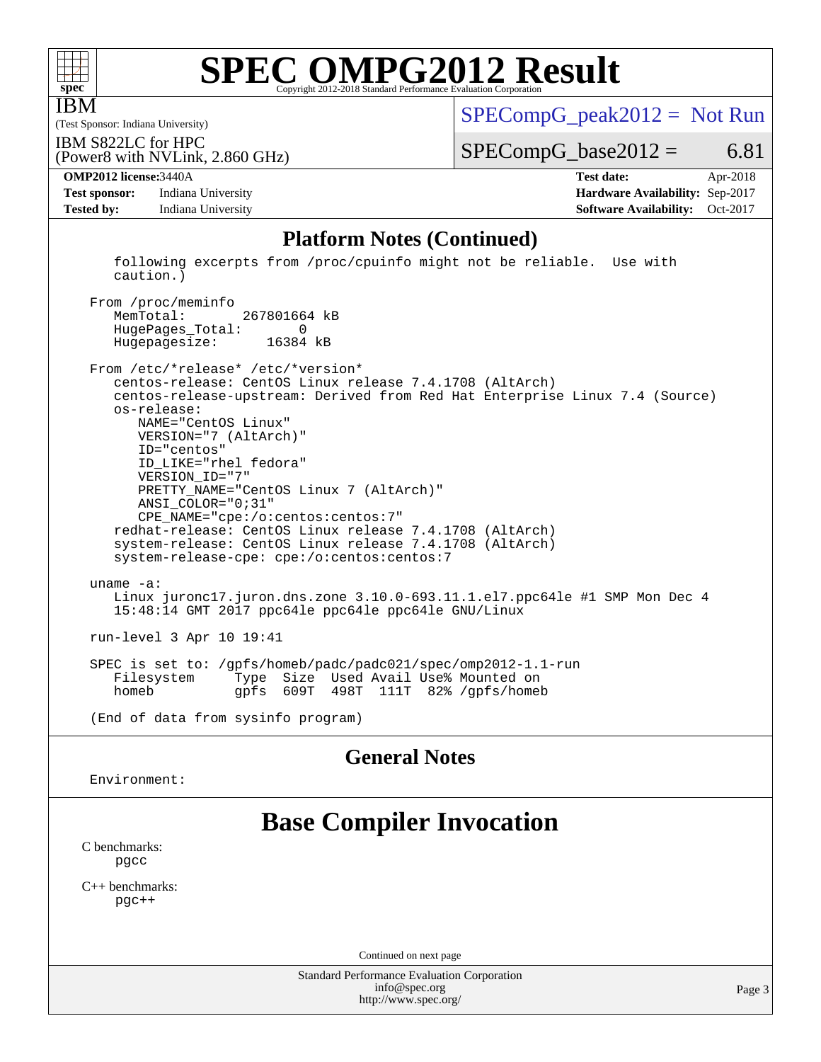

IBM

# **[SPEC OMPG2012 Result](http://www.spec.org/auto/omp2012/Docs/result-fields.html#SPECOMPG2012Result)**

(Test Sponsor: Indiana University)

 $SPECompG_peak2012 = Not Run$  $SPECompG_peak2012 = Not Run$ 

IBM S822LC for HPC

 $SPECompG_base2012 = 6.81$  $SPECompG_base2012 = 6.81$ 

**[Test sponsor:](http://www.spec.org/auto/omp2012/Docs/result-fields.html#Testsponsor)** Indiana University **[Hardware Availability:](http://www.spec.org/auto/omp2012/Docs/result-fields.html#HardwareAvailability)** Sep-2017 **[Tested by:](http://www.spec.org/auto/omp2012/Docs/result-fields.html#Testedby)** Indiana University **[Software Availability:](http://www.spec.org/auto/omp2012/Docs/result-fields.html#SoftwareAvailability)** Oct-2017

(Power8 with NVLink, 2.860 GHz)

**[OMP2012 license:](http://www.spec.org/auto/omp2012/Docs/result-fields.html#OMP2012license)**3440A **[Test date:](http://www.spec.org/auto/omp2012/Docs/result-fields.html#Testdate)** Apr-2018

### **[Platform Notes \(Continued\)](http://www.spec.org/auto/omp2012/Docs/result-fields.html#PlatformNotes)**

 following excerpts from /proc/cpuinfo might not be reliable. Use with caution.)

 From /proc/meminfo MemTotal: 267801664 kB HugePages\_Total: 0 Hugepagesize: 16384 kB

 From /etc/\*release\* /etc/\*version\* centos-release: CentOS Linux release 7.4.1708 (AltArch) centos-release-upstream: Derived from Red Hat Enterprise Linux 7.4 (Source) os-release: NAME="CentOS Linux" VERSION="7 (AltArch)" ID="centos" ID\_LIKE="rhel fedora" VERSION\_ID="7" PRETTY\_NAME="CentOS Linux 7 (AltArch)" ANSI\_COLOR="0;31" CPE\_NAME="cpe:/o:centos:centos:7" redhat-release: CentOS Linux release 7.4.1708 (AltArch) system-release: CentOS Linux release 7.4.1708 (AltArch) system-release-cpe: cpe:/o:centos:centos:7 uname -a: Linux juronc17.juron.dns.zone 3.10.0-693.11.1.el7.ppc64le #1 SMP Mon Dec 4 15:48:14 GMT 2017 ppc64le ppc64le ppc64le GNU/Linux run-level 3 Apr 10 19:41 SPEC is set to: /gpfs/homeb/padc/padc021/spec/omp2012-1.1-run

Type Size Used Avail Use% Mounted on homeb gpfs 609T 498T 111T 82% /gpfs/homeb

(End of data from sysinfo program)

### **[General Notes](http://www.spec.org/auto/omp2012/Docs/result-fields.html#GeneralNotes)**

Environment:

## **[Base Compiler Invocation](http://www.spec.org/auto/omp2012/Docs/result-fields.html#BaseCompilerInvocation)**

[C benchmarks](http://www.spec.org/auto/omp2012/Docs/result-fields.html#Cbenchmarks): [pgcc](http://www.spec.org/omp2012/results/res2018q2/omp2012-20180605-00147.flags.html#user_CCbase_pgcc_l)

[C++ benchmarks:](http://www.spec.org/auto/omp2012/Docs/result-fields.html#CXXbenchmarks) [pgc++](http://www.spec.org/omp2012/results/res2018q2/omp2012-20180605-00147.flags.html#user_CXXbase_pgcpp_l_e5fc4a0ead554906661557a60ef932e8)

Continued on next page

Standard Performance Evaluation Corporation [info@spec.org](mailto:info@spec.org) <http://www.spec.org/>